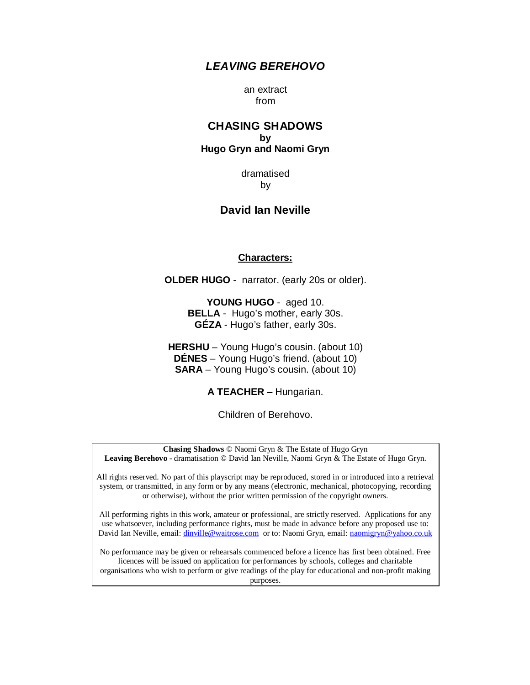## *LEAVING BEREHOVO*

an extract from

## **CHASING SHADOWS by Hugo Gryn and Naomi Gryn**

dramatised by

# **David Ian Neville**

#### **Characters:**

**OLDER HUGO** - narrator. (early 20s or older).

**YOUNG HUGO** - aged 10. **BELLA** - Hugo's mother, early 30s. **GÉZA** - Hugo's father, early 30s.

**HERSHU** – Young Hugo's cousin. (about 10) **DÉNES** – Young Hugo's friend. (about 10) **SARA** – Young Hugo's cousin. (about 10)

**A TEACHER** – Hungarian.

Children of Berehovo.

**Chasing Shadows** © Naomi Gryn & The Estate of Hugo Gryn **Leaving Berehovo** - dramatisation © David Ian Neville, Naomi Gryn & The Estate of Hugo Gryn.

All rights reserved. No part of this playscript may be reproduced, stored in or introduced into a retrieval system, or transmitted, in any form or by any means (electronic, mechanical, photocopying, recording or otherwise), without the prior written permission of the copyright owners.

All performing rights in this work, amateur or professional, are strictly reserved. Applications for any use whatsoever, including performance rights, must be made in advance before any proposed use to: David Ian Neville, email: [dinville@waitrose.com](mailto:dinville@waitrose.com) or to: Naomi Gryn, email: [naomigryn@yahoo.co.uk](mailto:naomigryn@yahoo.co.uk)

No performance may be given or rehearsals commenced before a licence has first been obtained. Free licences will be issued on application for performances by schools, colleges and charitable organisations who wish to perform or give readings of the play for educational and non-profit making purposes.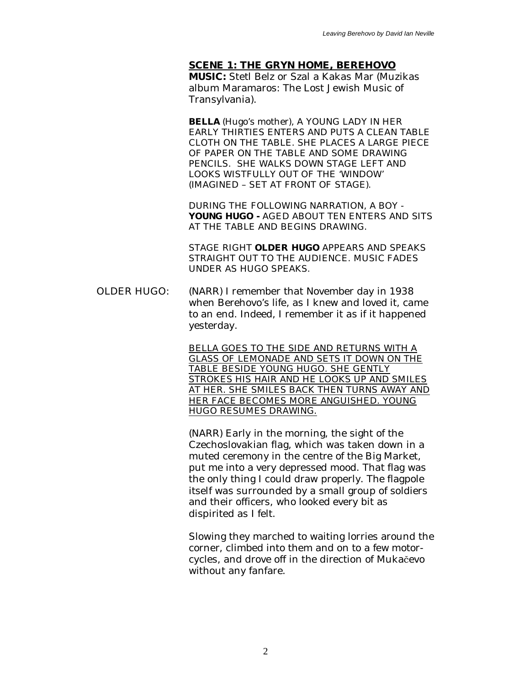**SCENE 1: THE GRYN HOME, BEREHOVO MUSIC:** Stetl Belz or Szal a Kakas Mar (Muzikas album Maramaros: The Lost Jewish Music of Transylvania).

**BELLA** (Hugo's mother), A YOUNG LADY IN HER EARLY THIRTIES ENTERS AND PUTS A CLEAN TABLE CLOTH ON THE TABLE. SHE PLACES A LARGE PIECE OF PAPER ON THE TABLE AND SOME DRAWING PENCILS. SHE WALKS DOWN STAGE LEFT AND LOOKS WISTFULLY OUT OF THE 'WINDOW' (IMAGINED – SET AT FRONT OF STAGE).

DURING THE FOLLOWING NARRATION, A BOY - **YOUNG HUGO -** AGED ABOUT TEN ENTERS AND SITS AT THE TABLE AND BEGINS DRAWING.

STAGE RIGHT **OLDER HUGO** APPEARS AND SPEAKS STRAIGHT OUT TO THE AUDIENCE. MUSIC FADES UNDER AS HUGO SPEAKS.

OLDER HUGO: (NARR) I remember that November day in 1938 when Berehovo's life, as I knew and loved it, came to an end. Indeed, I remember it as if it happened yesterday.

> BELLA GOES TO THE SIDE AND RETURNS WITH A GLASS OF LEMONADE AND SETS IT DOWN ON THE TABLE BESIDE YOUNG HUGO. SHE GENTLY STROKES HIS HAIR AND HE LOOKS UP AND SMILES AT HER. SHE SMILES BACK THEN TURNS AWAY AND HER FACE BECOMES MORE ANGUISHED. YOUNG HUGO RESUMES DRAWING.

> (NARR) Early in the morning, the sight of the Czechoslovakian flag, which was taken down in a muted ceremony in the centre of the Big Market, put me into a very depressed mood. That flag was the only thing I could draw properly. The flagpole itself was surrounded by a small group of soldiers and their officers, who looked every bit as dispirited as I felt.

Slowing they marched to waiting lorries around the corner, climbed into them and on to a few motorcycles, and drove off in the direction of Mukačevo without any fanfare.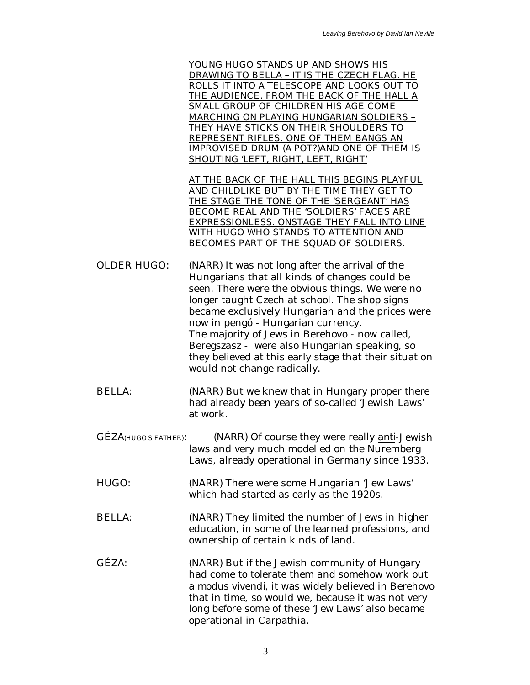YOUNG HUGO STANDS UP AND SHOWS HIS DRAWING TO BELLA – IT IS THE CZECH FLAG. HE ROLLS IT INTO A TELESCOPE AND LOOKS OUT TO THE AUDIENCE. FROM THE BACK OF THE HALL A SMALL GROUP OF CHILDREN HIS AGE COME MARCHING ON PLAYING HUNGARIAN SOLDIERS – THEY HAVE STICKS ON THEIR SHOULDERS TO REPRESENT RIFLES. ONE OF THEM BANGS AN IMPROVISED DRUM (A POT?)AND ONE OF THEM IS SHOUTING 'LEFT, RIGHT, LEFT, RIGHT'

AT THE BACK OF THE HALL THIS BEGINS PLAYFUL AND CHILDLIKE BUT BY THE TIME THEY GET TO THE STAGE THE TONE OF THE 'SERGEANT' HAS BECOME REAL AND THE 'SOLDIERS' FACES ARE EXPRESSIONLESS. ONSTAGE THEY FALL INTO LINE WITH HUGO WHO STANDS TO ATTENTION AND BECOMES PART OF THE SQUAD OF SOLDIERS.

OLDER HUGO: (NARR) It was not long after the arrival of the Hungarians that all kinds of changes could be seen. There were the obvious things. We were no longer taught Czech at school. The shop signs became exclusively Hungarian and the prices were now in pengó - Hungarian currency. The majority of Jews in Berehovo - now called, Beregszasz - were also Hungarian speaking, so they believed at this early stage that their situation would not change radically.

- BELLA: (NARR) But we knew that in Hungary proper there had already been years of so-called 'Jewish Laws' at work.
- GÉZA(HUGO'S FATHER): (NARR) Of course they were really *anti*-Jewish laws and very much modelled on the Nuremberg Laws, already operational in Germany since 1933.
- HUGO: (NARR) There were some Hungarian 'Jew Laws' which had started as early as the 1920s.
- BELLA: (NARR) They limited the number of Jews in higher education, in some of the learned professions, and ownership of certain kinds of land.
- GÉZA: (NARR) But if the Jewish community of Hungary had come to tolerate them and somehow work out a *modus vivendi*, it was widely believed in Berehovo that in time, so would we, because it was not very long before some of these 'Jew Laws' also became operational in Carpathia.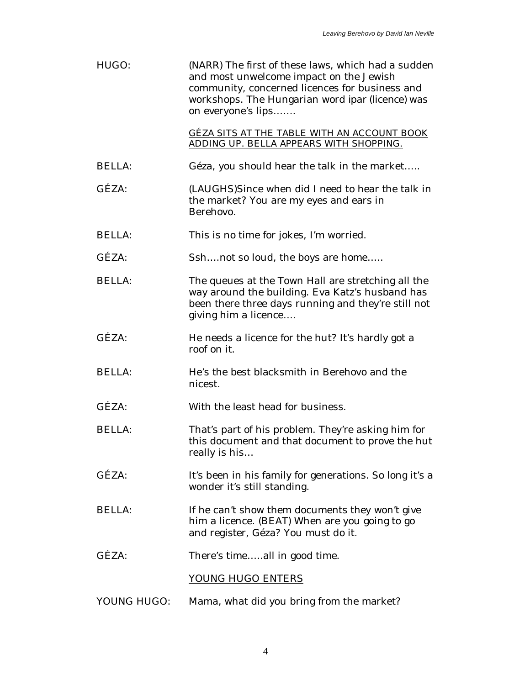| HUGO:         | (NARR) The first of these laws, which had a sudden<br>and most unwelcome impact on the Jewish<br>community, concerned licences for business and<br>workshops. The Hungarian word ipar (licence) was<br>on everyone's lips |
|---------------|---------------------------------------------------------------------------------------------------------------------------------------------------------------------------------------------------------------------------|
|               | GÉZA SITS AT THE TABLE WITH AN ACCOUNT BOOK<br>ADDING UP. BELLA APPEARS WITH SHOPPING.                                                                                                                                    |
| <b>BELLA:</b> | Géza, you should hear the talk in the market                                                                                                                                                                              |
| GÉZA:         | (LAUGHS)Since when did I need to hear the talk in<br>the market? You are my eyes and ears in<br>Berehovo.                                                                                                                 |
| <b>BELLA:</b> | This is no time for jokes, I'm worried.                                                                                                                                                                                   |
| GÉZA:         | Sshnot so loud, the boys are home                                                                                                                                                                                         |
| <b>BELLA:</b> | The queues at the Town Hall are stretching all the<br>way around the building. Eva Katz's husband has<br>been there three days running and they're still not<br>giving him a licence                                      |
| GÉZA:         | He needs a licence for the hut? It's hardly got a<br>roof on it.                                                                                                                                                          |
| <b>BELLA:</b> | He's the best blacksmith in Berehovo and the<br>nicest.                                                                                                                                                                   |
| GÉZA:         | With the least head for business.                                                                                                                                                                                         |
| <b>BELLA:</b> | That's part of his problem. They're asking him for<br>this document and that document to prove the hut<br>really is his                                                                                                   |
| GÉZA:         | It's been in his family for generations. So long it's a<br>wonder it's still standing.                                                                                                                                    |
| <b>BELLA:</b> | If he can't show them documents they won't give<br>him a licence. (BEAT) When are you going to go<br>and register, Géza? You must do it.                                                                                  |
| GÉZA:         | There's timeall in good time.                                                                                                                                                                                             |
|               | YOUNG HUGO ENTERS                                                                                                                                                                                                         |
| YOUNG HUGO:   | Mama, what did you bring from the market?                                                                                                                                                                                 |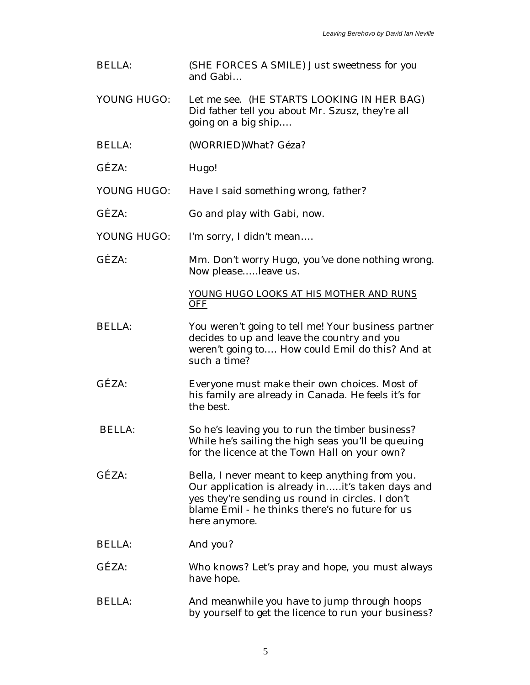| <b>BELLA:</b> | (SHE FORCES A SMILE) Just sweetness for you<br>and Gabi                                                                                                                                                                     |
|---------------|-----------------------------------------------------------------------------------------------------------------------------------------------------------------------------------------------------------------------------|
| YOUNG HUGO:   | Let me see. (HE STARTS LOOKING IN HER BAG)<br>Did father tell you about Mr. Szusz, they're all<br>going on a big ship                                                                                                       |
| <b>BELLA:</b> | (WORRIED) What? Géza?                                                                                                                                                                                                       |
| GÉZA:         | Hugo!                                                                                                                                                                                                                       |
| YOUNG HUGO:   | Have I said something wrong, father?                                                                                                                                                                                        |
| GÉZA:         | Go and play with Gabi, now.                                                                                                                                                                                                 |
| YOUNG HUGO:   | I'm sorry, I didn't mean                                                                                                                                                                                                    |
| GÉZA:         | Mm. Don't worry Hugo, you've done nothing wrong.<br>Now pleaseleave us.                                                                                                                                                     |
|               | YOUNG HUGO LOOKS AT HIS MOTHER AND RUNS<br>OFF                                                                                                                                                                              |
| <b>BELLA:</b> | You weren't going to tell me! Your business partner<br>decides to up and leave the country and you<br>weren't going to How could Emil do this? And at<br>such a time?                                                       |
| GÉZA:         | Everyone must make their own choices. Most of<br>his family are already in Canada. He feels it's for<br>the best.                                                                                                           |
| <b>BELLA:</b> | So he's leaving you to run the timber business?<br>While he's sailing the high seas you'll be queuing<br>for the licence at the Town Hall on your own?                                                                      |
| GÉZA:         | Bella, I never meant to keep anything from you.<br>Our application is already init's taken days and<br>yes they're sending us round in circles. I don't<br>blame Emil - he thinks there's no future for us<br>here anymore. |
| <b>BELLA:</b> | And you?                                                                                                                                                                                                                    |
| GÉZA:         | Who knows? Let's pray and hope, you must always<br>have hope.                                                                                                                                                               |
| <b>BELLA:</b> | And meanwhile you have to jump through hoops<br>by yourself to get the licence to run your business?                                                                                                                        |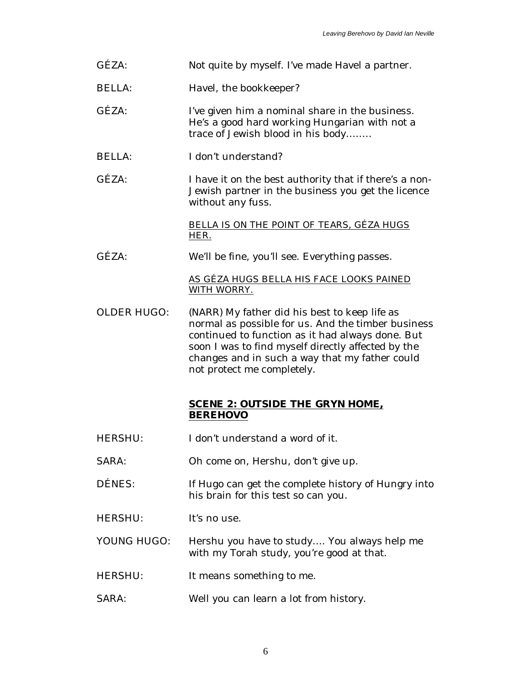| GÉZA:              | Not quite by myself. I've made Havel a partner.                                                                                                                                                                                                                                               |
|--------------------|-----------------------------------------------------------------------------------------------------------------------------------------------------------------------------------------------------------------------------------------------------------------------------------------------|
| <b>BELLA:</b>      | Havel, the bookkeeper?                                                                                                                                                                                                                                                                        |
| $G$ ÉZA:           | I've given him a nominal share in the business.<br>He's a good hard working Hungarian with not a<br>trace of Jewish blood in his body                                                                                                                                                         |
| <b>BELLA:</b>      | I don't understand?                                                                                                                                                                                                                                                                           |
| GÉZA:              | I have it on the best authority that if there's a non-<br>Jewish partner in the business you get the licence<br>without any fuss.                                                                                                                                                             |
|                    | BELLA IS ON THE POINT OF TEARS, GÉZA HUGS<br>HER.                                                                                                                                                                                                                                             |
| GÉZA:              | We'll be fine, you'll see. Everything passes.                                                                                                                                                                                                                                                 |
|                    | AS GÉZA HUGS BELLA HIS FACE LOOKS PAINED<br>WITH WORRY.                                                                                                                                                                                                                                       |
| <b>OLDER HUGO:</b> | (NARR) My father did his best to keep life as<br>normal as possible for us. And the timber business<br>continued to function as it had always done. But<br>soon I was to find myself directly affected by the<br>changes and in such a way that my father could<br>not protect me completely. |
|                    | <b>SCENE 2: OUTSIDE THE GRYN HOME,</b><br><b>BEREHOVO</b>                                                                                                                                                                                                                                     |
| <b>HERSHU:</b>     | I don't understand a word of it.                                                                                                                                                                                                                                                              |
| SARA:              | Oh come on, Hershu, don't give up.                                                                                                                                                                                                                                                            |
| DÉNES:             | If Hugo can get the complete history of Hungry into<br>his brain for this test so can you.                                                                                                                                                                                                    |
| <b>HERSHU:</b>     | It's no use.                                                                                                                                                                                                                                                                                  |
| YOUNG HUGO:        | Hershu you have to study You always help me<br>with my Torah study, you're good at that.                                                                                                                                                                                                      |
| <b>HERSHU:</b>     | It means something to me.                                                                                                                                                                                                                                                                     |
| SARA:              | Well you can learn a lot from history.                                                                                                                                                                                                                                                        |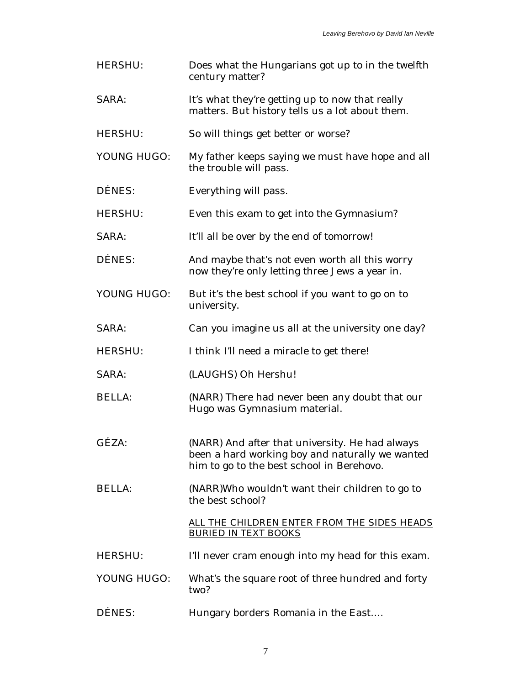| <b>HERSHU:</b> | Does what the Hungarians got up to in the twelfth<br>century matter?                                                                            |
|----------------|-------------------------------------------------------------------------------------------------------------------------------------------------|
| SARA:          | It's what they're getting up to now that really<br>matters. But history tells us a lot about them.                                              |
| <b>HERSHU:</b> | So will things get better or worse?                                                                                                             |
| YOUNG HUGO:    | My father keeps saying we must have hope and all<br>the trouble will pass.                                                                      |
| DÉNES:         | Everything will pass.                                                                                                                           |
| <b>HERSHU:</b> | Even this exam to get into the Gymnasium?                                                                                                       |
| <b>SARA:</b>   | It'll all be over by the end of tomorrow!                                                                                                       |
| DÉNES:         | And maybe that's not even worth all this worry<br>now they're only letting three Jews a year in.                                                |
| YOUNG HUGO:    | But it's the best school if you want to go on to<br>university.                                                                                 |
| SARA:          | Can you imagine us all at the university one day?                                                                                               |
| <b>HERSHU:</b> | I think I'll need a miracle to get there!                                                                                                       |
| SARA:          | (LAUGHS) Oh Hershu!                                                                                                                             |
| <b>BELLA:</b>  | (NARR) There had never been any doubt that our<br>Hugo was Gymnasium material.                                                                  |
| GÉZA:          | (NARR) And after that university. He had always<br>been a hard working boy and naturally we wanted<br>him to go to the best school in Berehovo. |
| <b>BELLA:</b>  | (NARR)Who wouldn't want their children to go to<br>the best school?                                                                             |
|                | ALL THE CHILDREN ENTER FROM THE SIDES HEADS<br><b>BURIED IN TEXT BOOKS</b>                                                                      |
| <b>HERSHU:</b> | I'll never cram enough into my head for this exam.                                                                                              |
| YOUNG HUGO:    | What's the square root of three hundred and forty<br>two?                                                                                       |
| DÉNES:         | Hungary borders Romania in the East                                                                                                             |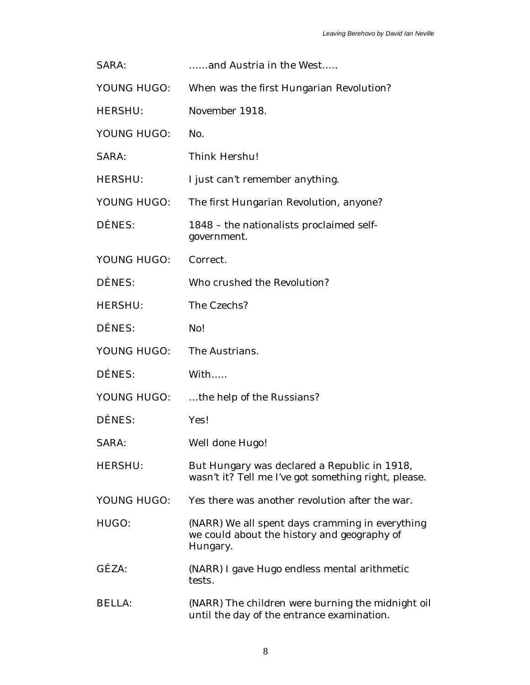| <b>SARA:</b>   | and Austria in the West                                                                                    |
|----------------|------------------------------------------------------------------------------------------------------------|
| YOUNG HUGO:    | When was the first Hungarian Revolution?                                                                   |
| <b>HERSHU:</b> | November 1918.                                                                                             |
| YOUNG HUGO:    | No.                                                                                                        |
| <b>SARA:</b>   | <b>Think Hershu!</b>                                                                                       |
| <b>HERSHU:</b> | I just can't remember anything.                                                                            |
| YOUNG HUGO:    | The first Hungarian Revolution, anyone?                                                                    |
| <b>DÉNES:</b>  | 1848 - the nationalists proclaimed self-<br>government.                                                    |
| YOUNG HUGO:    | Correct.                                                                                                   |
| DÉNES:         | Who crushed the Revolution?                                                                                |
| <b>HERSHU:</b> | The Czechs?                                                                                                |
| <b>DÉNES:</b>  | No!                                                                                                        |
| YOUNG HUGO:    | The Austrians.                                                                                             |
| DÉNES:         | With                                                                                                       |
| YOUNG HUGO:    | the help of the Russians?                                                                                  |
| <b>DÉNES:</b>  | Yes!                                                                                                       |
| <b>SARA:</b>   | <b>Well done Hugo!</b>                                                                                     |
| <b>HERSHU:</b> | But Hungary was declared a Republic in 1918,<br>wasn't it? Tell me I've got something right, please.       |
| YOUNG HUGO:    | Yes there was another revolution after the war.                                                            |
| HUGO:          | (NARR) We all spent days cramming in everything<br>we could about the history and geography of<br>Hungary. |
| GÉZA:          | (NARR) I gave Hugo endless mental arithmetic<br>tests.                                                     |
| <b>BELLA:</b>  | (NARR) The children were burning the midnight oil<br>until the day of the entrance examination.            |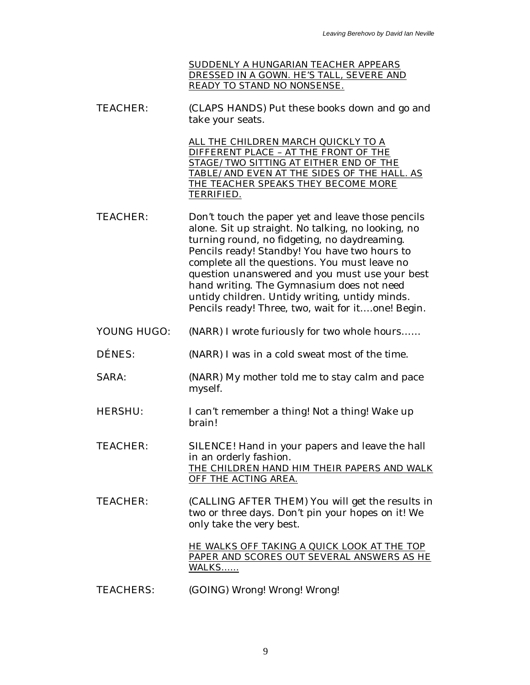SUDDENLY A HUNGARIAN TEACHER APPEARS DRESSED IN A GOWN. HE'S TALL, SEVERE AND READY TO STAND NO NONSENSE.

TEACHER: (CLAPS HANDS) Put these books down and go and take your seats.

> ALL THE CHILDREN MARCH QUICKLY TO A DIFFERENT PLACE – AT THE FRONT OF THE STAGE/TWO SITTING AT EITHER END OF THE TABLE/AND EVEN AT THE SIDES OF THE HALL. AS THE TEACHER SPEAKS THEY BECOME MORE TERRIFIED.

- TEACHER: Don't touch the paper yet and leave those pencils alone. Sit up straight. No talking, no looking, no turning round, no fidgeting, no daydreaming. Pencils ready! Standby! You have two hours to complete all the questions. You must leave no question unanswered and you must use your best hand writing. The Gymnasium does not need untidy children. Untidy writing, untidy minds. Pencils ready! Three, two, wait for it….one! Begin.
- YOUNG HUGO: (NARR) I wrote furiously for two whole hours……
- DÉNES: (NARR) I was in a cold sweat most of the time.
- SARA: (NARR) My mother told me to stay calm and pace myself.
- HERSHU: I can't remember a thing! Not a thing! Wake up brain!
- TEACHER: SILENCE! Hand in your papers and leave the hall in an orderly fashion. THE CHILDREN HAND HIM THEIR PAPERS AND WALK OFF THE ACTING AREA.
- TEACHER: (CALLING AFTER THEM) You will get the results in two or three days. Don't pin your hopes on it! We only take the very best.

HE WALKS OFF TAKING A QUICK LOOK AT THE TOP PAPER AND SCORES OUT SEVERAL ANSWERS AS HE WALKS……

TEACHERS: (GOING) Wrong! Wrong! Wrong!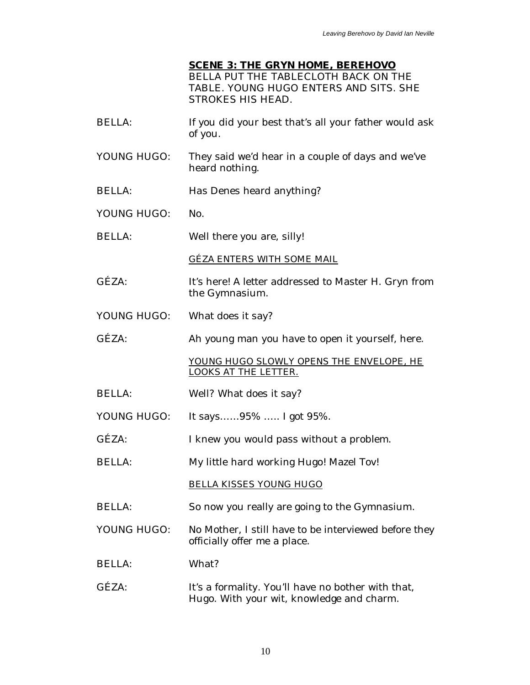### **SCENE 3: THE GRYN HOME, BEREHOVO** BELLA PUT THE TABLECLOTH BACK ON THE TABLE. YOUNG HUGO ENTERS AND SITS. SHE STROKES HIS HEAD.

- BELLA: If you did your best that's all your father would ask of you.
- YOUNG HUGO: They said we'd hear in a couple of days and we've heard nothing.
- BELLA: Has Denes heard anything?
- YOUNG HUGO: No.
- BELLA: Well there you are, silly!

GÉZA ENTERS WITH SOME MAIL

- GÉZA: It's here! A letter addressed to Master H. Gryn from the Gymnasium.
- YOUNG HUGO: What does it say?
- GÉZA: Ah young man you have to open it yourself, here.

YOUNG HUGO SLOWLY OPENS THE ENVELOPE, HE LOOKS AT THE LETTER.

- BELLA: Well? What does it say?
- YOUNG HUGO: It says……95% ….. I got 95%.
- GÉZA: I knew you would pass without a problem.
- BELLA: My little hard working Hugo! Mazel Tov!

BELLA KISSES YOUNG HUGO

- BELLA: So now you really are going to the Gymnasium.
- YOUNG HUGO: No Mother, I still have to be interviewed before they officially offer me a place.
- BELLA: What?
- GÉZA: It's a formality. You'll have no bother with that, Hugo. With your wit, knowledge and charm.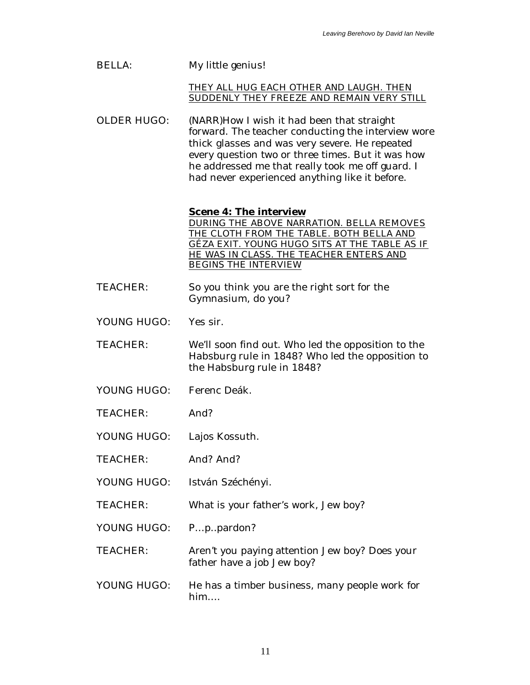| <b>BELLA:</b>      | My little genius!                                                                                                                                                                                                                                                                                             |
|--------------------|---------------------------------------------------------------------------------------------------------------------------------------------------------------------------------------------------------------------------------------------------------------------------------------------------------------|
|                    | THEY ALL HUG EACH OTHER AND LAUGH. THEN<br>SUDDENLY THEY FREEZE AND REMAIN VERY STILL                                                                                                                                                                                                                         |
| <b>OLDER HUGO:</b> | (NARR)How I wish it had been that straight<br>forward. The teacher conducting the interview wore<br>thick glasses and was very severe. He repeated<br>every question two or three times. But it was how<br>he addressed me that really took me off guard. I<br>had never experienced anything like it before. |
|                    | <b>Scene 4: The interview</b><br>DURING THE ABOVE NARRATION. BELLA REMOVES<br>THE CLOTH FROM THE TABLE. BOTH BELLA AND<br>GÉZA EXIT. YOUNG HUGO SITS AT THE TABLE AS IF<br>HE WAS IN CLASS. THE TEACHER ENTERS AND<br><b>BEGINS THE INTERVIEW</b>                                                             |
| <b>TEACHER:</b>    | So you think you are the right sort for the<br>Gymnasium, do you?                                                                                                                                                                                                                                             |
| YOUNG HUGO:        | Yes sir.                                                                                                                                                                                                                                                                                                      |
| <b>TEACHER:</b>    | We'll soon find out. Who led the opposition to the<br>Habsburg rule in 1848? Who led the opposition to<br>the Habsburg rule in 1848?                                                                                                                                                                          |
| YOUNG HUGO:        | Ferenc Deák.                                                                                                                                                                                                                                                                                                  |
| <b>TEACHER:</b>    | And?                                                                                                                                                                                                                                                                                                          |
| YOUNG HUGO:        | Lajos Kossuth.                                                                                                                                                                                                                                                                                                |
| <b>TEACHER:</b>    | And? And?                                                                                                                                                                                                                                                                                                     |
| YOUNG HUGO:        | István Széchényi.                                                                                                                                                                                                                                                                                             |
| <b>TEACHER:</b>    | What is your father's work, Jew boy?                                                                                                                                                                                                                                                                          |
| YOUNG HUGO:        | Pppardon?                                                                                                                                                                                                                                                                                                     |
| <b>TEACHER:</b>    | Aren't you paying attention Jew boy? Does your<br>father have a job Jew boy?                                                                                                                                                                                                                                  |
| YOUNG HUGO:        | He has a timber business, many people work for<br>him                                                                                                                                                                                                                                                         |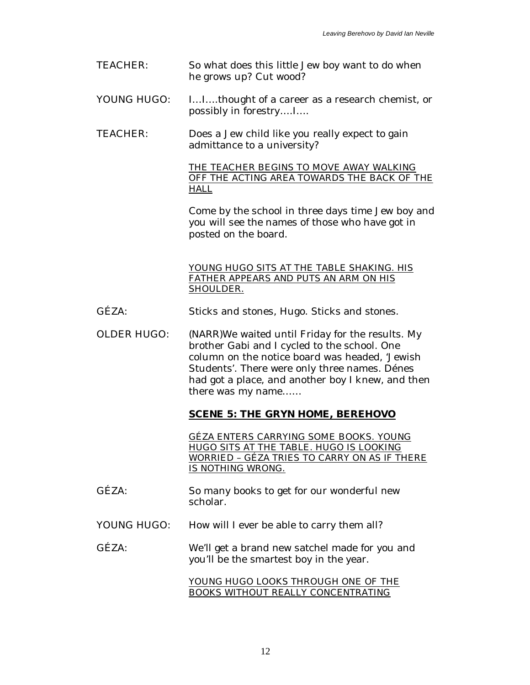| <b>TEACHER:</b> | So what does this little Jew boy want to do when |
|-----------------|--------------------------------------------------|
|                 | he grows up? Cut wood?                           |

- YOUNG HUGO: I...I....thought of a career as a research chemist, or possibly in forestry….I….
- TEACHER: Does a Jew child like you really expect to gain admittance to a university?

THE TEACHER BEGINS TO MOVE AWAY WALKING OFF THE ACTING AREA TOWARDS THE BACK OF THE HALL

Come by the school in three days time Jew boy and you will see the names of those who have got in posted on the board.

YOUNG HUGO SITS AT THE TABLE SHAKING. HIS FATHER APPEARS AND PUTS AN ARM ON HIS SHOULDER.

- GÉZA: Sticks and stones, Hugo. Sticks and stones.
- OLDER HUGO: (NARR)We waited until Friday for the results. My brother Gabi and I cycled to the school. One column on the notice board was headed, 'Jewish Students'. There were only three names. Dénes had got a place, and another boy I knew, and then there was my name……

**SCENE 5: THE GRYN HOME, BEREHOVO**

GÉZA ENTERS CARRYING SOME BOOKS. YOUNG HUGO SITS AT THE TABLE. HUGO IS LOOKING WORRIED – GÉZA TRIES TO CARRY ON AS IF THERE IS NOTHING WRONG.

- GÉZA: So many books to get for our wonderful new scholar.
- YOUNG HUGO: How will I ever be able to carry them all?

### GÉZA: We'll get a brand new satchel made for you and you'll be the smartest boy in the year.

YOUNG HUGO LOOKS THROUGH ONE OF THE BOOKS WITHOUT REALLY CONCENTRATING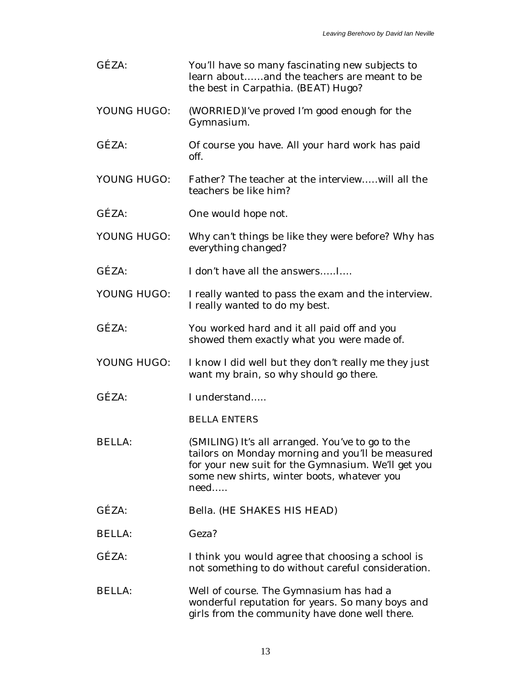| GÉZA:         | You'll have so many fascinating new subjects to<br>learn aboutand the teachers are meant to be<br>the best in Carpathia. (BEAT) Hugo?                                                                             |
|---------------|-------------------------------------------------------------------------------------------------------------------------------------------------------------------------------------------------------------------|
| YOUNG HUGO:   | (WORRIED)I've proved I'm good enough for the<br>Gymnasium.                                                                                                                                                        |
| GÉZA:         | Of course you have. All your hard work has paid<br>off.                                                                                                                                                           |
| YOUNG HUGO:   | Father? The teacher at the interviewwill all the<br>teachers be like him?                                                                                                                                         |
| GÉZA:         | One would hope not.                                                                                                                                                                                               |
| YOUNG HUGO:   | Why can't things be like they were before? Why has<br>everything changed?                                                                                                                                         |
| GÉZA:         | I don't have all the answersI                                                                                                                                                                                     |
| YOUNG HUGO:   | I really wanted to pass the exam and the interview.<br>I really wanted to do my best.                                                                                                                             |
| GÉZA:         | You worked hard and it all paid off and you<br>showed them exactly what you were made of.                                                                                                                         |
| YOUNG HUGO:   | I know I did well but they don't really me they just<br>want my brain, so why should go there.                                                                                                                    |
| GÉZA:         | I understand                                                                                                                                                                                                      |
|               | <b>BELLA ENTERS</b>                                                                                                                                                                                               |
| <b>BELLA:</b> | (SMILING) It's all arranged. You've to go to the<br>tailors on Monday morning and you'll be measured<br>for your new suit for the Gymnasium. We'll get you<br>some new shirts, winter boots, whatever you<br>need |
| GÉZA:         | <b>Bella. (HE SHAKES HIS HEAD)</b>                                                                                                                                                                                |
| <b>BELLA:</b> | Geza?                                                                                                                                                                                                             |
| GÉZA:         | I think you would agree that choosing a school is<br>not something to do without careful consideration.                                                                                                           |
| <b>BELLA:</b> | Well of course. The Gymnasium has had a<br>wonderful reputation for years. So many boys and<br>girls from the community have done well there.                                                                     |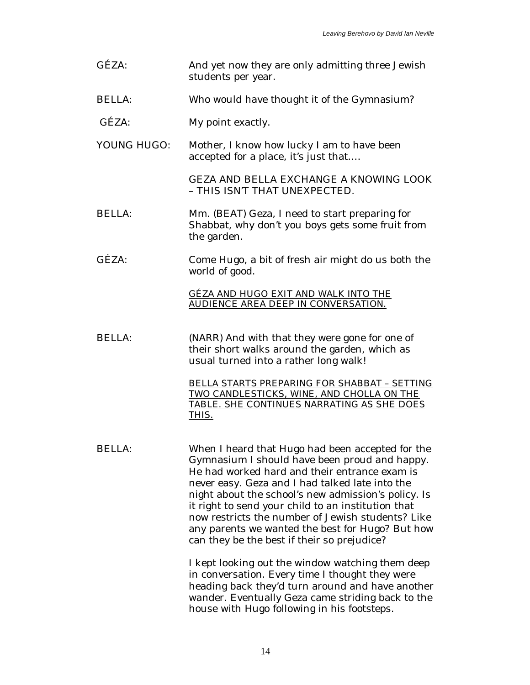GÉZA: And yet now they are only admitting three Jewish students per year. BELLA: Who would have thought it of the Gymnasium? GÉZA: My point exactly. YOUNG HUGO: Mother, I know how lucky I am to have been accepted for a place, it's just that…. GEZA AND BELLA EXCHANGE A KNOWING LOOK – THIS ISN'T THAT UNEXPECTED. BELLA: Mm. (BEAT) Geza, I need to start preparing for Shabbat, why don't you boys gets some fruit from the garden. GÉZA: Come Hugo, a bit of fresh air might do us both the world of good. GÉZA AND HUGO EXIT AND WALK INTO THE AUDIENCE AREA DEEP IN CONVERSATION. BELLA: (NARR) And with that they were gone for one of their short walks around the garden, which as usual turned into a rather long walk! BELLA STARTS PREPARING FOR SHABBAT – SETTING TWO CANDLESTICKS, WINE, AND CHOLLA ON THE TABLE. SHE CONTINUES NARRATING AS SHE DOES THIS. BELLA: When I heard that Hugo had been accepted for the Gymnasium I should have been proud and happy. He had worked hard and their entrance exam is never easy. Geza and I had talked late into the night about the school's new admission's policy. Is it right to send your child to an institution that now restricts the number of Jewish students? Like any parents we wanted the best for Hugo? But how can they be the best if their so prejudice? I kept looking out the window watching them deep in conversation. Every time I thought they were heading back they'd turn around and have another wander. Eventually Geza came striding back to the house with Hugo following in his footsteps.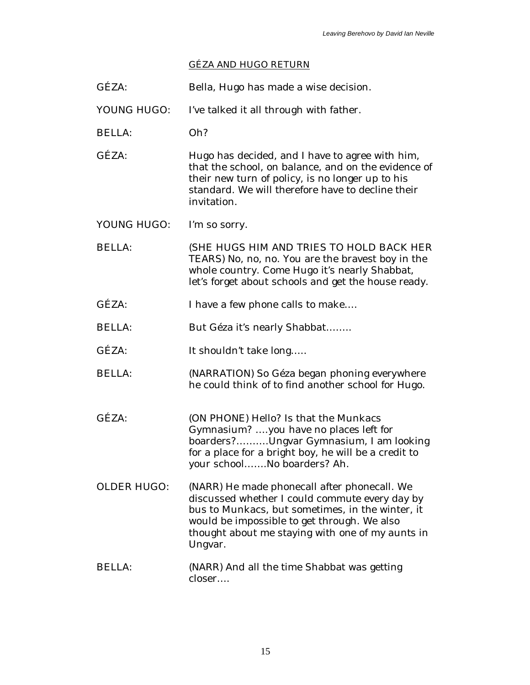# GÉZA AND HUGO RETURN

| GÉZA:              | Bella, Hugo has made a wise decision.                                                                                                                                                                                                                            |
|--------------------|------------------------------------------------------------------------------------------------------------------------------------------------------------------------------------------------------------------------------------------------------------------|
| YOUNG HUGO:        | I've talked it all through with father.                                                                                                                                                                                                                          |
| <b>BELLA:</b>      | Oh?                                                                                                                                                                                                                                                              |
| GÉZA:              | Hugo has decided, and I have to agree with him,<br>that the school, on balance, and on the evidence of<br>their new turn of policy, is no longer up to his<br>standard. We will therefore have to decline their<br>invitation.                                   |
| YOUNG HUGO:        | I'm so sorry.                                                                                                                                                                                                                                                    |
| <b>BELLA:</b>      | (SHE HUGS HIM AND TRIES TO HOLD BACK HER<br>TEARS) No, no, no. You are the bravest boy in the<br>whole country. Come Hugo it's nearly Shabbat,<br>let's forget about schools and get the house ready.                                                            |
| GÉZA:              | I have a few phone calls to make                                                                                                                                                                                                                                 |
| <b>BELLA:</b>      | But Géza it's nearly Shabbat                                                                                                                                                                                                                                     |
| GÉZA:              | It shouldn't take long                                                                                                                                                                                                                                           |
| <b>BELLA:</b>      | (NARRATION) So Géza began phoning everywhere<br>he could think of to find another school for Hugo.                                                                                                                                                               |
| GÉZA:              | (ON PHONE) Hello? Is that the Munkacs<br>Gymnasium? you have no places left for<br>boarders?Ungvar Gymnasium, I am looking<br>for a place for a bright boy, he will be a credit to<br>your schoolNo boarders? Ah.                                                |
| <b>OLDER HUGO:</b> | (NARR) He made phonecall after phonecall. We<br>discussed whether I could commute every day by<br>bus to Munkacs, but sometimes, in the winter, it<br>would be impossible to get through. We also<br>thought about me staying with one of my aunts in<br>Ungvar. |
| <b>BELLA:</b>      | (NARR) And all the time Shabbat was getting<br>closer                                                                                                                                                                                                            |